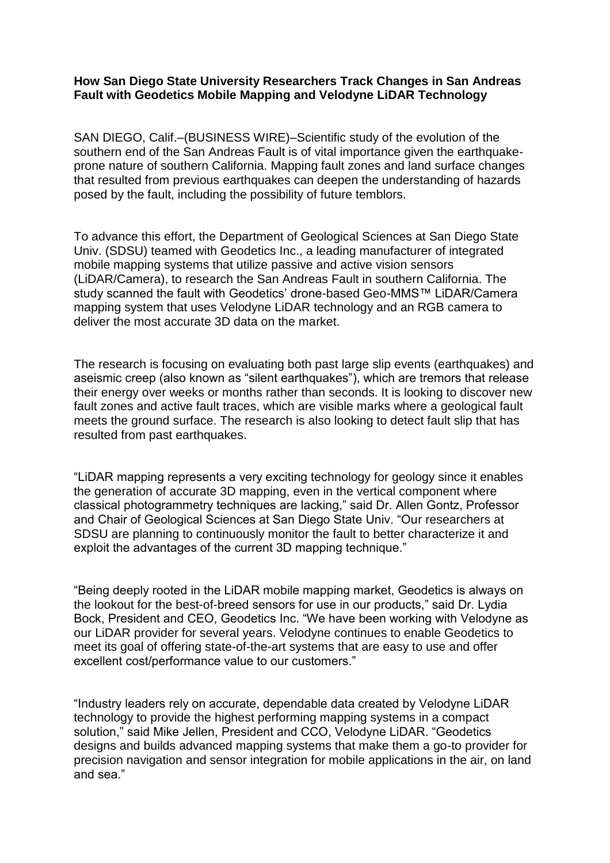### **How San Diego State University Researchers Track Changes in San Andreas Fault with Geodetics Mobile Mapping and Velodyne LiDAR Technology**

SAN DIEGO, Calif.–(BUSINESS WIRE)–Scientific study of the evolution of the southern end of the San Andreas Fault is of vital importance given the earthquakeprone nature of southern California. Mapping fault zones and land surface changes that resulted from previous earthquakes can deepen the understanding of hazards posed by the fault, including the possibility of future temblors.

To advance this effort, the Department of Geological Sciences at San Diego State Univ. (SDSU) teamed with Geodetics Inc., a leading manufacturer of integrated mobile mapping systems that utilize passive and active vision sensors (LiDAR/Camera), to research the San Andreas Fault in southern California. The study scanned the fault with Geodetics' drone-based Geo-MMS™ LiDAR/Camera mapping system that uses Velodyne LiDAR technology and an RGB camera to deliver the most accurate 3D data on the market.

The research is focusing on evaluating both past large slip events (earthquakes) and aseismic creep (also known as "silent earthquakes"), which are tremors that release their energy over weeks or months rather than seconds. It is looking to discover new fault zones and active fault traces, which are visible marks where a geological fault meets the ground surface. The research is also looking to detect fault slip that has resulted from past earthquakes.

"LiDAR mapping represents a very exciting technology for geology since it enables the generation of accurate 3D mapping, even in the vertical component where classical photogrammetry techniques are lacking," said Dr. Allen Gontz, Professor and Chair of Geological Sciences at San Diego State Univ. "Our researchers at SDSU are planning to continuously monitor the fault to better characterize it and exploit the advantages of the current 3D mapping technique."

"Being deeply rooted in the LiDAR mobile mapping market, Geodetics is always on the lookout for the best-of-breed sensors for use in our products," said Dr. Lydia Bock, President and CEO, Geodetics Inc. "We have been working with Velodyne as our LiDAR provider for several years. Velodyne continues to enable Geodetics to meet its goal of offering state-of-the-art systems that are easy to use and offer excellent cost/performance value to our customers."

"Industry leaders rely on accurate, dependable data created by Velodyne LiDAR technology to provide the highest performing mapping systems in a compact solution," said Mike Jellen, President and CCO, Velodyne LiDAR. "Geodetics designs and builds advanced mapping systems that make them a go-to provider for precision navigation and sensor integration for mobile applications in the air, on land and sea."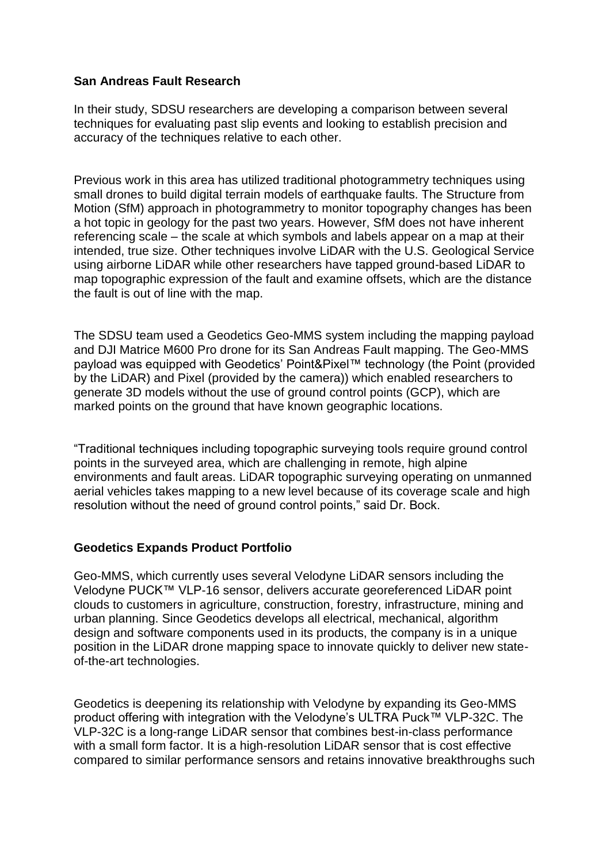### **San Andreas Fault Research**

In their study, SDSU researchers are developing a comparison between several techniques for evaluating past slip events and looking to establish precision and accuracy of the techniques relative to each other.

Previous work in this area has utilized traditional photogrammetry techniques using small drones to build digital terrain models of earthquake faults. The Structure from Motion (SfM) approach in photogrammetry to monitor topography changes has been a hot topic in geology for the past two years. However, SfM does not have inherent referencing scale – the scale at which symbols and labels appear on a map at their intended, true size. Other techniques involve LiDAR with the U.S. Geological Service using airborne LiDAR while other researchers have tapped ground-based LiDAR to map topographic expression of the fault and examine offsets, which are the distance the fault is out of line with the map.

The SDSU team used a Geodetics Geo-MMS system including the mapping payload and DJI Matrice M600 Pro drone for its San Andreas Fault mapping. The Geo-MMS payload was equipped with Geodetics' Point&Pixel™ technology (the Point (provided by the LiDAR) and Pixel (provided by the camera)) which enabled researchers to generate 3D models without the use of ground control points (GCP), which are marked points on the ground that have known geographic locations.

"Traditional techniques including topographic surveying tools require ground control points in the surveyed area, which are challenging in remote, high alpine environments and fault areas. LiDAR topographic surveying operating on unmanned aerial vehicles takes mapping to a new level because of its coverage scale and high resolution without the need of ground control points," said Dr. Bock.

## **Geodetics Expands Product Portfolio**

Geo-MMS, which currently uses several Velodyne LiDAR sensors including the Velodyne PUCK™ VLP-16 sensor, delivers accurate georeferenced LiDAR point clouds to customers in agriculture, construction, forestry, infrastructure, mining and urban planning. Since Geodetics develops all electrical, mechanical, algorithm design and software components used in its products, the company is in a unique position in the LiDAR drone mapping space to innovate quickly to deliver new stateof-the-art technologies.

Geodetics is deepening its relationship with Velodyne by expanding its Geo-MMS product offering with integration with the Velodyne's ULTRA Puck™ VLP-32C. The VLP-32C is a long-range LiDAR sensor that combines best-in-class performance with a small form factor. It is a high-resolution LiDAR sensor that is cost effective compared to similar performance sensors and retains innovative breakthroughs such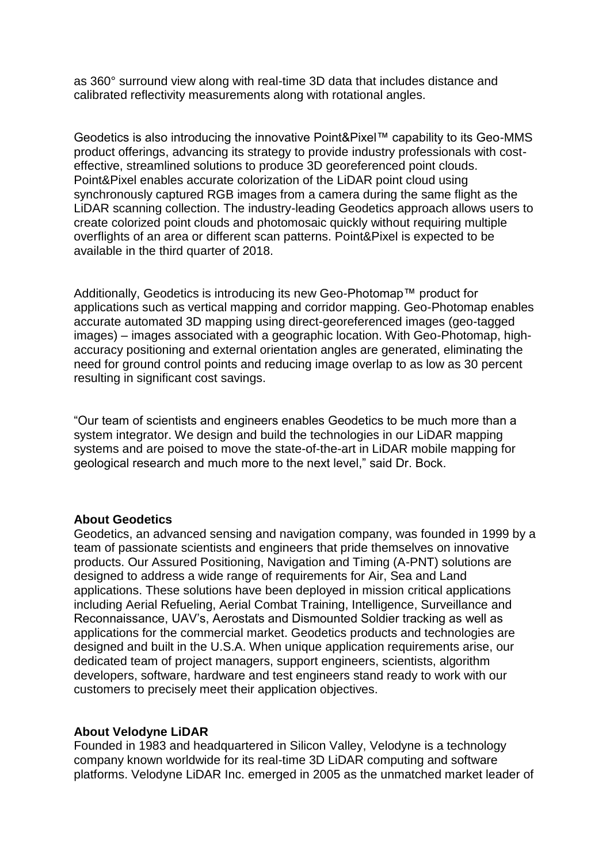as 360° surround view along with real-time 3D data that includes distance and calibrated reflectivity measurements along with rotational angles.

Geodetics is also introducing the innovative Point&Pixel™ capability to its Geo-MMS product offerings, advancing its strategy to provide industry professionals with costeffective, streamlined solutions to produce 3D georeferenced point clouds. Point&Pixel enables accurate colorization of the LiDAR point cloud using synchronously captured RGB images from a camera during the same flight as the LiDAR scanning collection. The industry-leading Geodetics approach allows users to create colorized point clouds and photomosaic quickly without requiring multiple overflights of an area or different scan patterns. Point&Pixel is expected to be available in the third quarter of 2018.

Additionally, Geodetics is introducing its new Geo-Photomap™ product for applications such as vertical mapping and corridor mapping. Geo-Photomap enables accurate automated 3D mapping using direct-georeferenced images (geo-tagged images) – images associated with a geographic location. With Geo-Photomap, highaccuracy positioning and external orientation angles are generated, eliminating the need for ground control points and reducing image overlap to as low as 30 percent resulting in significant cost savings.

"Our team of scientists and engineers enables Geodetics to be much more than a system integrator. We design and build the technologies in our LiDAR mapping systems and are poised to move the state-of-the-art in LiDAR mobile mapping for geological research and much more to the next level," said Dr. Bock.

#### **About Geodetics**

Geodetics, an advanced sensing and navigation company, was founded in 1999 by a team of passionate scientists and engineers that pride themselves on innovative products. Our Assured Positioning, Navigation and Timing (A-PNT) solutions are designed to address a wide range of requirements for Air, Sea and Land applications. These solutions have been deployed in mission critical applications including Aerial Refueling, Aerial Combat Training, Intelligence, Surveillance and Reconnaissance, UAV's, Aerostats and Dismounted Soldier tracking as well as applications for the commercial market. Geodetics products and technologies are designed and built in the U.S.A. When unique application requirements arise, our dedicated team of project managers, support engineers, scientists, algorithm developers, software, hardware and test engineers stand ready to work with our customers to precisely meet their application objectives.

#### **About Velodyne LiDAR**

Founded in 1983 and headquartered in Silicon Valley, Velodyne is a technology company known worldwide for its real-time 3D LiDAR computing and software platforms. Velodyne LiDAR Inc. emerged in 2005 as the unmatched market leader of